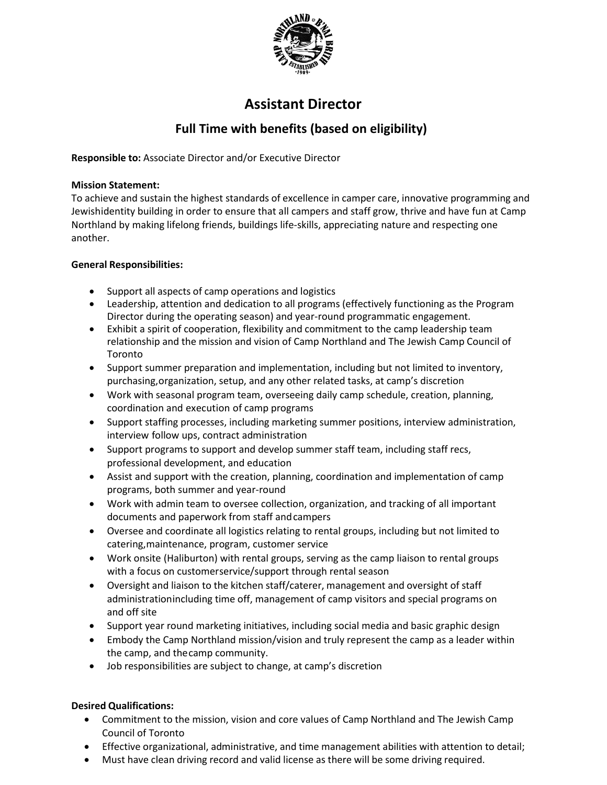

# **Assistant Director**

## **Full Time with benefits (based on eligibility)**

**Responsible to:** Associate Director and/or Executive Director

#### **Mission Statement:**

To achieve and sustain the highest standards of excellence in camper care, innovative programming and Jewishidentity building in order to ensure that all campers and staff grow, thrive and have fun at Camp Northland by making lifelong friends, buildings life-skills, appreciating nature and respecting one another.

### **General Responsibilities:**

- Support all aspects of camp operations and logistics
- Leadership, attention and dedication to all programs (effectively functioning as the Program Director during the operating season) and year-round programmatic engagement.
- Exhibit a spirit of cooperation, flexibility and commitment to the camp leadership team relationship and the mission and vision of Camp Northland and The Jewish Camp Council of Toronto
- Support summer preparation and implementation, including but not limited to inventory, purchasing,organization, setup, and any other related tasks, at camp's discretion
- Work with seasonal program team, overseeing daily camp schedule, creation, planning, coordination and execution of camp programs
- Support staffing processes, including marketing summer positions, interview administration, interview follow ups, contract administration
- Support programs to support and develop summer staff team, including staff recs, professional development, and education
- Assist and support with the creation, planning, coordination and implementation of camp programs, both summer and year-round
- Work with admin team to oversee collection, organization, and tracking of all important documents and paperwork from staff and campers
- Oversee and coordinate all logistics relating to rental groups, including but not limited to catering,maintenance, program, customer service
- Work onsite (Haliburton) with rental groups, serving as the camp liaison to rental groups with a focus on customerservice/support through rental season
- Oversight and liaison to the kitchen staff/caterer, management and oversight of staff administrationincluding time off, management of camp visitors and special programs on and off site
- Support year round marketing initiatives, including social media and basic graphic design
- Embody the Camp Northland mission/vision and truly represent the camp as a leader within the camp, and thecamp community.
- Job responsibilities are subject to change, at camp's discretion

#### **Desired Qualifications:**

- Commitment to the mission, vision and core values of Camp Northland and The Jewish Camp Council of Toronto
- Effective organizational, administrative, and time management abilities with attention to detail;
- Must have clean driving record and valid license as there will be some driving required.